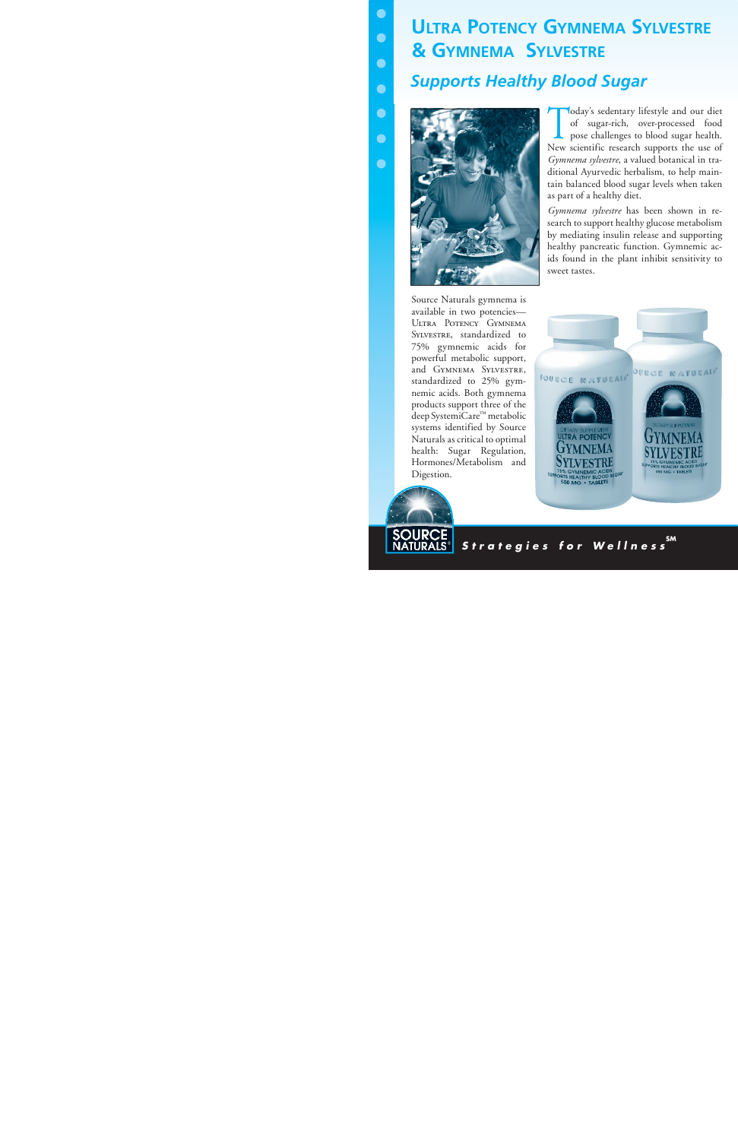# **Ultra Potency Gymnema Sylvestre & Gymnema Sylvestre** *Supports Healthy Blood Sugar*



Today's sedentary lifestyle and our diet<br>
of sugar-rich, over-processed food<br>
pose challenges to blood sugar health.<br>
Num rignific around numerate the use of of sugar-rich, over-processed food New scientific research supports the use of *Gymnema sylvestre*, a valued botanical in traditional Ayurvedic herbalism, to help maintain balanced blood sugar levels when taken as part of a healthy diet.

*Gymnema sylvestre* has been shown in research to support healthy glucose metabolism by mediating insulin release and supporting healthy pancreatic function. Gymnemic acids found in the plant inhibit sensitivity to sweet tastes.

Source Naturals gymnema is available in two potencies— Ultra Potency Gymnema SYLVESTRE, standardized to 75% gymnemic acids for powerful metabolic support, and Gymnema Sylvestre, standardized to 25% gymnemic acids. Both gymnema products support three of the deep SystemiCare™ metabolic systems identified by Source Naturals as critical to optimal health: Sugar Regulation, Hormones/Metabolism and Digestion.





*Strategies for Wellnes s* **SM**